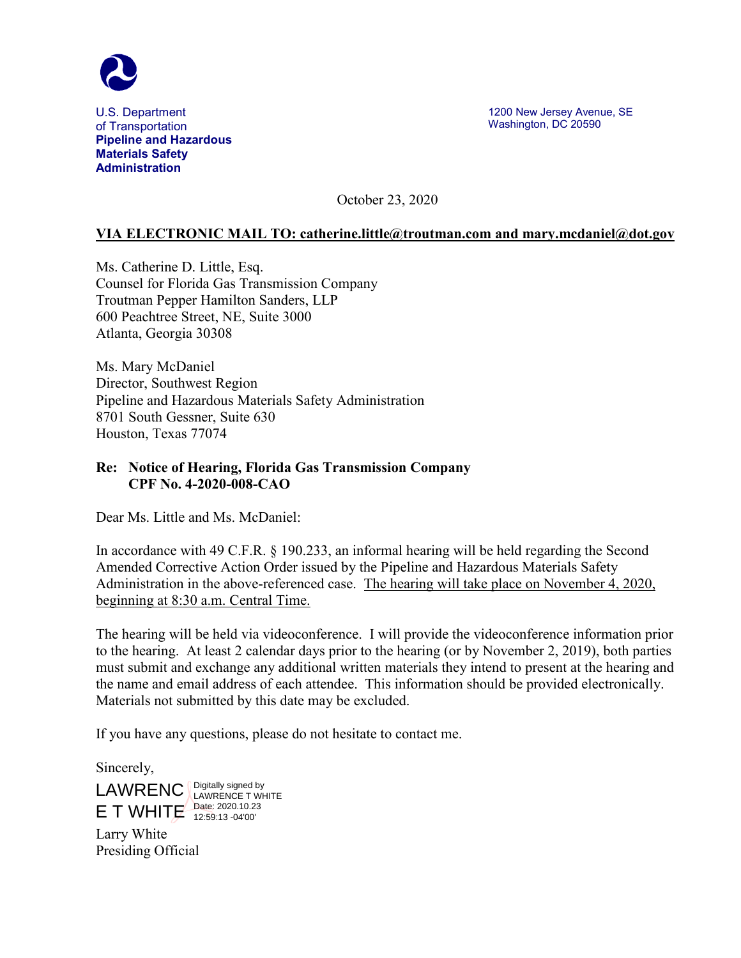

U.S. Department of Transportation **Pipeline and Hazardous Materials Safety Administration**

1200 New Jersey Avenue, SE Washington, DC 20590

October 23, 2020

## **VIA ELECTRONIC MAIL TO: catherine.little@troutman.com and mary.mcdaniel@dot.gov**

Ms. Catherine D. Little, Esq. Counsel for Florida Gas Transmission Company Troutman Pepper Hamilton Sanders, LLP 600 Peachtree Street, NE, Suite 3000 Atlanta, Georgia 30308

Ms. Mary McDaniel Director, Southwest Region Pipeline and Hazardous Materials Safety Administration 8701 South Gessner, Suite 630 Houston, Texas 77074

## **Re: Notice of Hearing, Florida Gas Transmission Company CPF No. 4-2020-008-CAO**

Dear Ms. Little and Ms. McDaniel:

In accordance with 49 C.F.R. § 190.233, an informal hearing will be held regarding the Second Amended Corrective Action Order issued by the Pipeline and Hazardous Materials Safety Administration in the above-referenced case. The hearing will take place on November 4, 2020, beginning at 8:30 a.m. Central Time.

The hearing will be held via videoconference. I will provide the videoconference information prior to the hearing. At least 2 calendar days prior to the hearing (or by November 2, 2019), both parties must submit and exchange any additional written materials they intend to present at the hearing and the name and email address of each attendee. This information should be provided electronically. Materials not submitted by this date may be excluded.

If you have any questions, please do not hesitate to contact me.

Sincerely,

LAWRENC LAWRENCE T WH  $E$  T WHITE Date: 2020.10.23 LAWRENCE T WHITE 12:59:13 -04'00'

Larry White Presiding Official